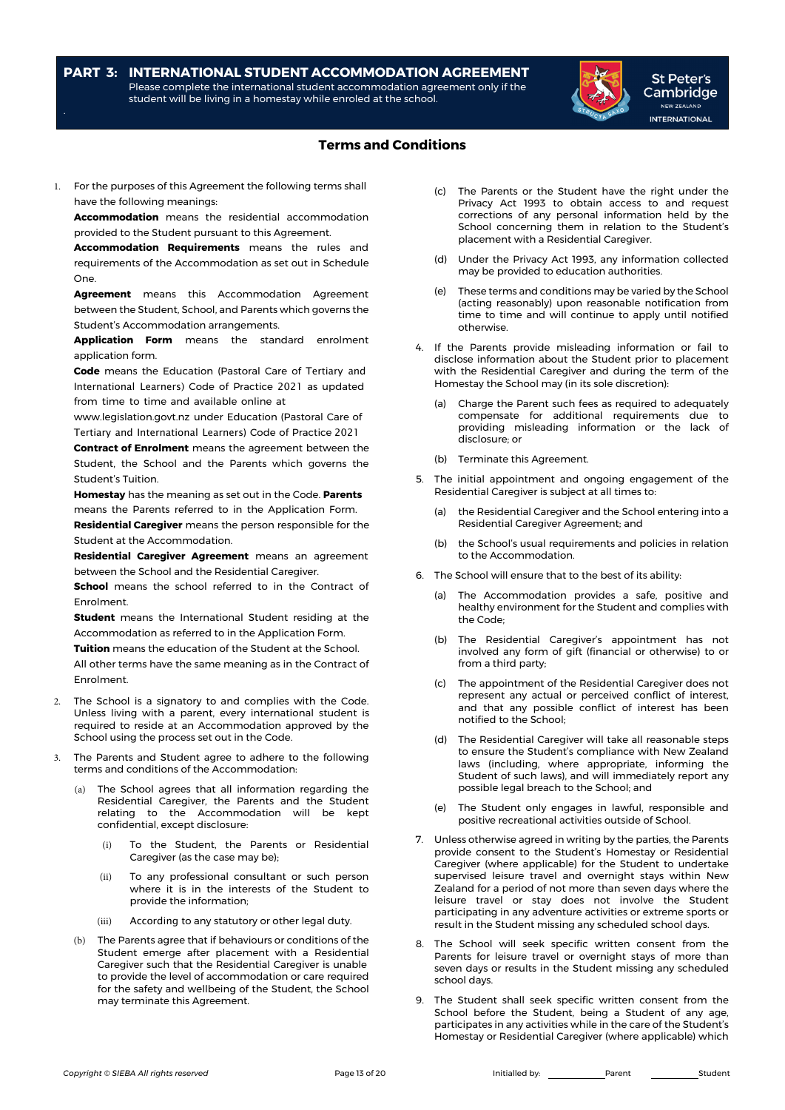### **PART 3: INTERNATIONAL STUDENT ACCOMMODATION AGREEMENT** Please complete the international student accommodation agreement only if the student will be living in a homestay while enroled at the school.



St Peter's Cambridge NEW ZEALAND **INTERNATIONAL** 

# **Terms and Conditions**

1. For the purposes of this Agreement the following terms shall have the following meanings:

**Accommodation** means the residential accommodation provided to the Student pursuant to this Agreement.

**Accommodation Requirements** means the rules and requirements of the Accommodation as set out in Schedule One.

**Agreement** means this Accommodation Agreement between the Student, School, and Parents which governs the Student's Accommodation arrangements.

**Application Form** means the standard enrolment application form.

**Code** means the Education (Pastoral Care of Tertiary and International Learners) Code of Practice 2021 as updated from time to time and available online at

www.legislation.govt.nz under Education (Pastoral Care of Tertiary and International Learners) Code of Practice 2021

**Contract of Enrolment** means the agreement between the Student, the School and the Parents which governs the Student's Tuition.

**Homestay** has the meaning as set out in the Code. **Parents** means the Parents referred to in the Application Form. **Residential Caregiver** means the person responsible for the

Student at the Accommodation. **Residential Caregiver Agreement** means an agreement

between the School and the Residential Caregiver.

**School** means the school referred to in the Contract of Enrolment.

**Student** means the International Student residing at the Accommodation as referred to in the Application Form.

**Tuition** means the education of the Student at the School. All other terms have the same meaning as in the Contract of Enrolment.

- 2. The School is a signatory to and complies with the Code. Unless living with a parent, every international student is required to reside at an Accommodation approved by the School using the process set out in the Code.
- The Parents and Student agree to adhere to the following terms and conditions of the Accommodation:
	- (a) The School agrees that all information regarding the Residential Caregiver, the Parents and the Student relating to the Accommodation will be kept confidential, except disclosure:
		- (i) To the Student, the Parents or Residential Caregiver (as the case may be);
		- (ii) To any professional consultant or such person where it is in the interests of the Student to provide the information;
		- (iii) According to any statutory or other legal duty.
	- (b) The Parents agree that if behaviours or conditions of the Student emerge after placement with a Residential Caregiver such that the Residential Caregiver is unable to provide the level of accommodation or care required for the safety and wellbeing of the Student, the School may terminate this Agreement.
- (c) The Parents or the Student have the right under the Privacy Act 1993 to obtain access to and request corrections of any personal information held by the School concerning them in relation to the Student's placement with a Residential Caregiver.
- (d) Under the Privacy Act 1993, any information collected may be provided to education authorities.
- (e) These terms and conditions may be varied by the School (acting reasonably) upon reasonable notification from time to time and will continue to apply until notified otherwise.
- 4. If the Parents provide misleading information or fail to disclose information about the Student prior to placement with the Residential Caregiver and during the term of the Homestay the School may (in its sole discretion):
	- (a) Charge the Parent such fees as required to adequately compensate for additional requirements due to providing misleading information or the lack of disclosure; or
	- (b) Terminate this Agreement.
- 5. The initial appointment and ongoing engagement of the Residential Caregiver is subject at all times to:
	- (a) the Residential Caregiver and the School entering into a Residential Caregiver Agreement; and
	- (b) the School's usual requirements and policies in relation to the Accommodation.
- 6. The School will ensure that to the best of its ability:
	- (a) The Accommodation provides a safe, positive and healthy environment for the Student and complies with the Code;
	- (b) The Residential Caregiver's appointment has not involved any form of gift (financial or otherwise) to or from a third party;
	- (c) The appointment of the Residential Caregiver does not represent any actual or perceived conflict of interest, and that any possible conflict of interest has been notified to the School;
	- (d) The Residential Caregiver will take all reasonable steps to ensure the Student's compliance with New Zealand laws (including, where appropriate, informing the Student of such laws), and will immediately report any possible legal breach to the School; and
	- (e) The Student only engages in lawful, responsible and positive recreational activities outside of School.
- 7. Unless otherwise agreed in writing by the parties, the Parents provide consent to the Student's Homestay or Residential Caregiver (where applicable) for the Student to undertake supervised leisure travel and overnight stays within New Zealand for a period of not more than seven days where the leisure travel or stay does not involve the Student participating in any adventure activities or extreme sports or result in the Student missing any scheduled school days.
- 8. The School will seek specific written consent from the Parents for leisure travel or overnight stays of more than seven days or results in the Student missing any scheduled school days.
- 9. The Student shall seek specific written consent from the School before the Student, being a Student of any age, participates in any activities while in the care of the Student's Homestay or Residential Caregiver (where applicable) which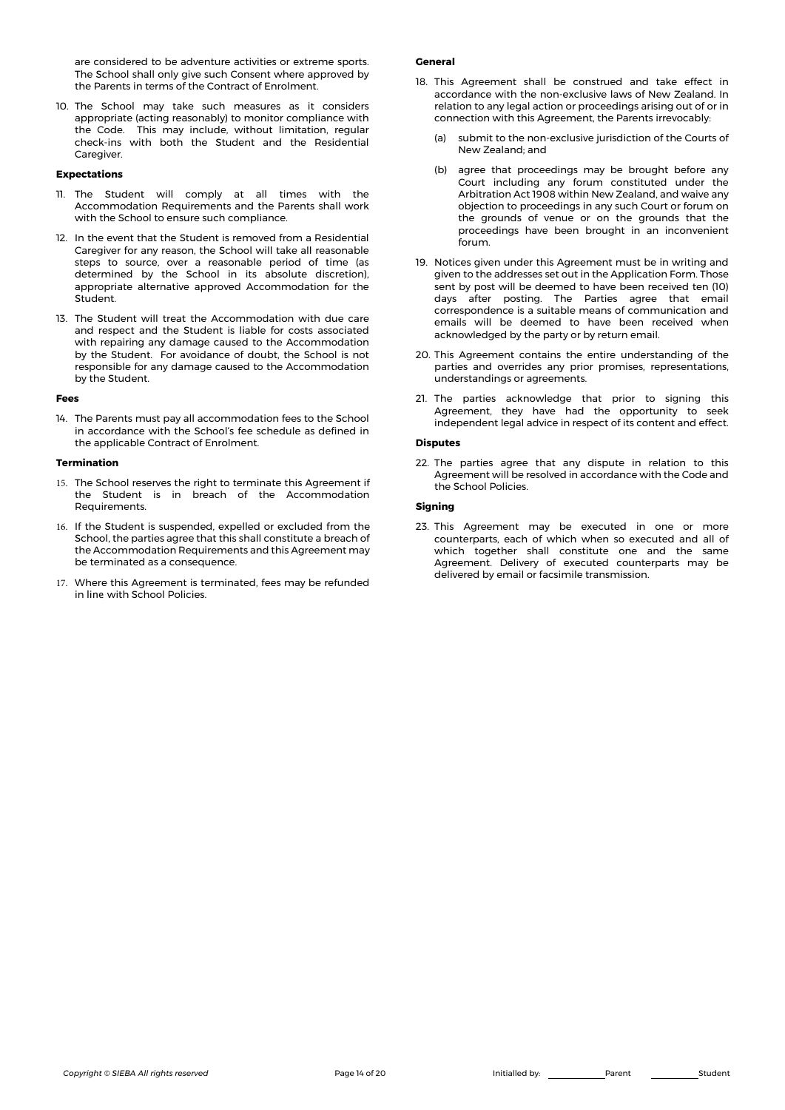are considered to be adventure activities or extreme sports. The School shall only give such Consent where approved by the Parents in terms of the Contract of Enrolment.

10. The School may take such measures as it considers appropriate (acting reasonably) to monitor compliance with the Code. This may include, without limitation, regular check-ins with both the Student and the Residential Caregiver.

### **Expectations**

- 11. The Student will comply at all times with the Accommodation Requirements and the Parents shall work with the School to ensure such compliance.
- 12. In the event that the Student is removed from a Residential Caregiver for any reason, the School will take all reasonable steps to source, over a reasonable period of time (as determined by the School in its absolute discretion), appropriate alternative approved Accommodation for the Student.
- 13. The Student will treat the Accommodation with due care and respect and the Student is liable for costs associated with repairing any damage caused to the Accommodation by the Student. For avoidance of doubt, the School is not responsible for any damage caused to the Accommodation by the Student.

#### **Fees**

14. The Parents must pay all accommodation fees to the School in accordance with the School's fee schedule as defined in the applicable Contract of Enrolment.

### **Termination**

- 15. The School reserves the right to terminate this Agreement if the Student is in breach of the Accommodation Requirements.
- 16. If the Student is suspended, expelled or excluded from the School, the parties agree that this shall constitute a breach of the Accommodation Requirements and this Agreement may be terminated as a consequence.
- 17. Where this Agreement is terminated, fees may be refunded in line with School Policies.

#### **General**

- 18. This Agreement shall be construed and take effect in accordance with the non-exclusive laws of New Zealand. In relation to any legal action or proceedings arising out of or in connection with this Agreement, the Parents irrevocably:
	- (a) submit to the non-exclusive jurisdiction of the Courts of New Zealand; and
	- (b) agree that proceedings may be brought before any Court including any forum constituted under the Arbitration Act 1908 within New Zealand, and waive any objection to proceedings in any such Court or forum on the grounds of venue or on the grounds that the proceedings have been brought in an inconvenient forum.
- 19. Notices given under this Agreement must be in writing and given to the addresses set out in the Application Form. Those sent by post will be deemed to have been received ten (10) days after posting. The Parties agree that email correspondence is a suitable means of communication and emails will be deemed to have been received when acknowledged by the party or by return email.
- 20. This Agreement contains the entire understanding of the parties and overrides any prior promises, representations, understandings or agreements.
- 21. The parties acknowledge that prior to signing this Agreement, they have had the opportunity to seek independent legal advice in respect of its content and effect.

#### **Disputes**

22. The parties agree that any dispute in relation to this Agreement will be resolved in accordance with the Code and the School Policies.

#### **Signing**

23. This Agreement may be executed in one or more counterparts, each of which when so executed and all of which together shall constitute one and the same Agreement. Delivery of executed counterparts may be delivered by email or facsimile transmission.